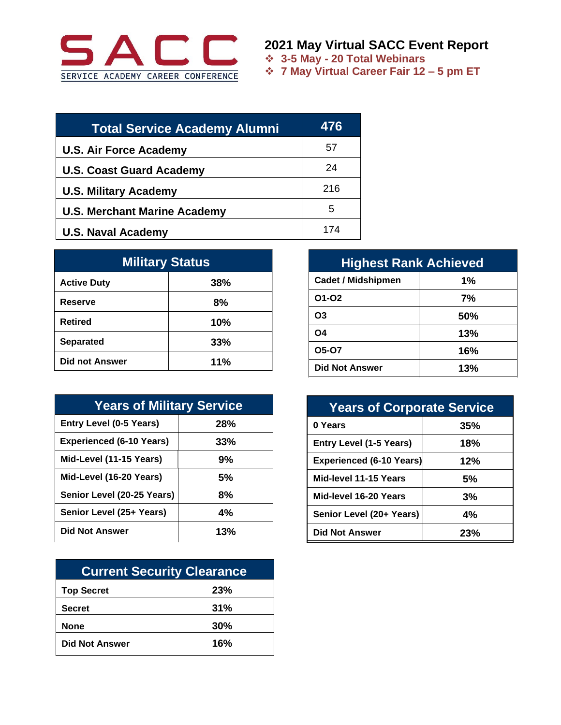

**2021 May Virtual SACC Event Report**

❖ **3-5 May - 20 Total Webinars**

❖ **7 May Virtual Career Fair 12 – 5 pm ET**

| <b>Total Service Academy Alumni</b> | 476 |
|-------------------------------------|-----|
| <b>U.S. Air Force Academy</b>       | 57  |
| <b>U.S. Coast Guard Academy</b>     | 24  |
| <b>U.S. Military Academy</b>        | 216 |
| <b>U.S. Merchant Marine Academy</b> | 5   |
| <b>U.S. Naval Academy</b>           | 174 |

| <b>Military Status</b> |     |  |
|------------------------|-----|--|
| <b>Active Duty</b>     | 38% |  |
| Reserve                | 8%  |  |
| <b>Retired</b>         | 10% |  |
| <b>Separated</b>       | 33% |  |
| <b>Did not Answer</b>  | 11% |  |

| <b>Years of Military Service</b> |     |  |
|----------------------------------|-----|--|
| <b>Entry Level (0-5 Years)</b>   | 28% |  |
| <b>Experienced (6-10 Years)</b>  | 33% |  |
| Mid-Level (11-15 Years)          | 9%  |  |
| Mid-Level (16-20 Years)          | 5%  |  |
| Senior Level (20-25 Years)       | 8%  |  |
| Senior Level (25+ Years)         | 4%  |  |
| <b>Did Not Answer</b>            | 13% |  |

| <b>Current Security Clearance</b> |     |  |
|-----------------------------------|-----|--|
| <b>Top Secret</b>                 | 23% |  |
| <b>Secret</b>                     | 31% |  |
| <b>None</b>                       | 30% |  |
| <b>Did Not Answer</b>             | 16% |  |

| <b>Highest Rank Achieved</b> |     |  |
|------------------------------|-----|--|
| <b>Cadet / Midshipmen</b>    | 1%  |  |
| 01-02                        | 7%  |  |
| O <sub>3</sub>               | 50% |  |
| <b>O4</b>                    | 13% |  |
| <b>05-07</b>                 | 16% |  |
| <b>Did Not Answer</b>        | 13% |  |

| <b>Years of Corporate Service</b> |     |  |
|-----------------------------------|-----|--|
| 0 Years                           | 35% |  |
| <b>Entry Level (1-5 Years)</b>    | 18% |  |
| <b>Experienced (6-10 Years)</b>   | 12% |  |
| Mid-level 11-15 Years             | 5%  |  |
| Mid-level 16-20 Years             | 3%  |  |
| Senior Level (20+ Years)          | 4%  |  |
| <b>Did Not Answer</b>             | 23% |  |